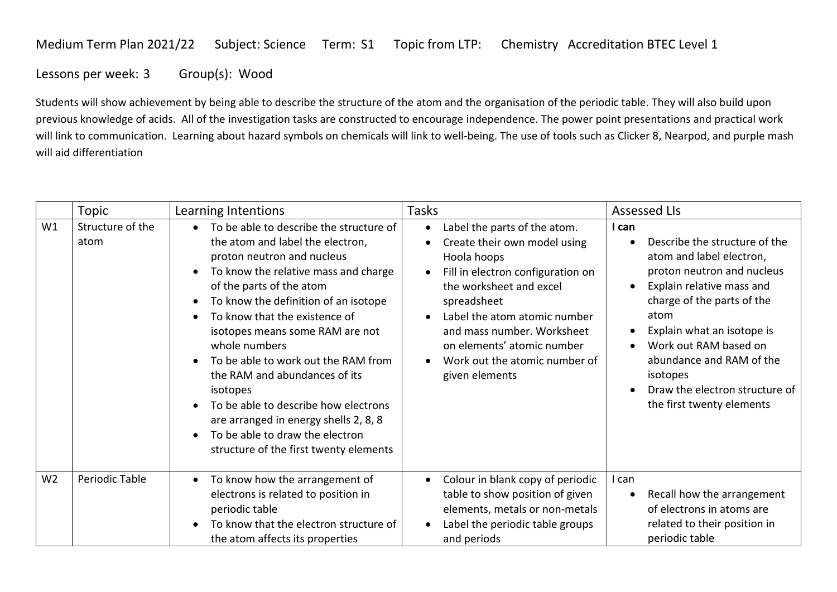## Medium Term Plan 2021/22 Subject: Science Term: S1 Topic from LTP: Chemistry Accreditation BTEC Level 1

Lessons per week: 3 Group(s): Wood

Students will show achievement by being able to describe the structure of the atom and the organisation of the periodic table. They will also build upon previous knowledge of acids. All of the investigation tasks are constructed to encourage independence. The power point presentations and practical work will link to communication. Learning about hazard symbols on chemicals will link to well-being. The use of tools such as Clicker 8, Nearpod, and purple mash will aid differentiation

|                | Topic                    | Learning Intentions                                                                                                                                                                                                                                                                                                                                                                                                                                                                                                                                                                                                                                     | Tasks                                                                                                                                                                                                                                                                                                                                            | <b>Assessed LIs</b>                                                                                                                                                                                                                                                                                                                                         |
|----------------|--------------------------|---------------------------------------------------------------------------------------------------------------------------------------------------------------------------------------------------------------------------------------------------------------------------------------------------------------------------------------------------------------------------------------------------------------------------------------------------------------------------------------------------------------------------------------------------------------------------------------------------------------------------------------------------------|--------------------------------------------------------------------------------------------------------------------------------------------------------------------------------------------------------------------------------------------------------------------------------------------------------------------------------------------------|-------------------------------------------------------------------------------------------------------------------------------------------------------------------------------------------------------------------------------------------------------------------------------------------------------------------------------------------------------------|
| W1             | Structure of the<br>atom | To be able to describe the structure of<br>$\bullet$<br>the atom and label the electron,<br>proton neutron and nucleus<br>To know the relative mass and charge<br>$\bullet$<br>of the parts of the atom<br>To know the definition of an isotope<br>$\bullet$<br>To know that the existence of<br>$\bullet$<br>isotopes means some RAM are not<br>whole numbers<br>To be able to work out the RAM from<br>$\bullet$<br>the RAM and abundances of its<br>isotopes<br>To be able to describe how electrons<br>$\bullet$<br>are arranged in energy shells 2, 8, 8<br>To be able to draw the electron<br>$\bullet$<br>structure of the first twenty elements | Label the parts of the atom.<br>$\bullet$<br>Create their own model using<br>Hoola hoops<br>Fill in electron configuration on<br>$\bullet$<br>the worksheet and excel<br>spreadsheet<br>Label the atom atomic number<br>and mass number. Worksheet<br>on elements' atomic number<br>Work out the atomic number of<br>$\bullet$<br>given elements | I can<br>Describe the structure of the<br>atom and label electron,<br>proton neutron and nucleus<br>Explain relative mass and<br>$\bullet$<br>charge of the parts of the<br>atom<br>Explain what an isotope is<br>Work out RAM based on<br>$\bullet$<br>abundance and RAM of the<br>isotopes<br>Draw the electron structure of<br>the first twenty elements |
| W <sub>2</sub> | Periodic Table           | To know how the arrangement of<br>$\bullet$<br>electrons is related to position in<br>periodic table<br>To know that the electron structure of<br>$\bullet$<br>the atom affects its properties                                                                                                                                                                                                                                                                                                                                                                                                                                                          | Colour in blank copy of periodic<br>$\bullet$<br>table to show position of given<br>elements, metals or non-metals<br>Label the periodic table groups<br>and periods                                                                                                                                                                             | l can<br>Recall how the arrangement<br>of electrons in atoms are<br>related to their position in<br>periodic table                                                                                                                                                                                                                                          |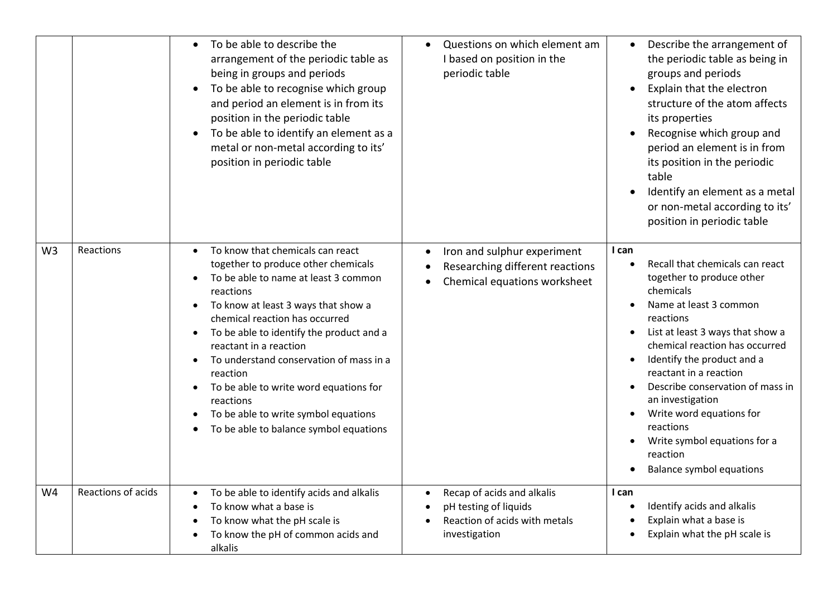|                |                    | To be able to describe the<br>arrangement of the periodic table as<br>being in groups and periods<br>To be able to recognise which group<br>and period an element is in from its<br>position in the periodic table<br>To be able to identify an element as a<br>metal or non-metal according to its'<br>position in periodic table                                                                                                                                          | Questions on which element am<br>$\bullet$<br>I based on position in the<br>periodic table            | Describe the arrangement of<br>the periodic table as being in<br>groups and periods<br>Explain that the electron<br>$\bullet$<br>structure of the atom affects<br>its properties<br>Recognise which group and<br>period an element is in from<br>its position in the periodic<br>table<br>Identify an element as a metal<br>or non-metal according to its'<br>position in periodic table                                                |
|----------------|--------------------|-----------------------------------------------------------------------------------------------------------------------------------------------------------------------------------------------------------------------------------------------------------------------------------------------------------------------------------------------------------------------------------------------------------------------------------------------------------------------------|-------------------------------------------------------------------------------------------------------|-----------------------------------------------------------------------------------------------------------------------------------------------------------------------------------------------------------------------------------------------------------------------------------------------------------------------------------------------------------------------------------------------------------------------------------------|
| W <sub>3</sub> | Reactions          | To know that chemicals can react<br>together to produce other chemicals<br>To be able to name at least 3 common<br>reactions<br>To know at least 3 ways that show a<br>chemical reaction has occurred<br>To be able to identify the product and a<br>reactant in a reaction<br>To understand conservation of mass in a<br>reaction<br>To be able to write word equations for<br>reactions<br>To be able to write symbol equations<br>To be able to balance symbol equations | Iron and sulphur experiment<br>Researching different reactions<br>Chemical equations worksheet        | I can<br>Recall that chemicals can react<br>together to produce other<br>chemicals<br>Name at least 3 common<br>reactions<br>List at least 3 ways that show a<br>chemical reaction has occurred<br>Identify the product and a<br>reactant in a reaction<br>Describe conservation of mass in<br>an investigation<br>Write word equations for<br>reactions<br>Write symbol equations for a<br>reaction<br><b>Balance symbol equations</b> |
| W4             | Reactions of acids | To be able to identify acids and alkalis<br>To know what a base is<br>To know what the pH scale is<br>To know the pH of common acids and<br>alkalis                                                                                                                                                                                                                                                                                                                         | Recap of acids and alkalis<br>pH testing of liquids<br>Reaction of acids with metals<br>investigation | I can<br>Identify acids and alkalis<br>Explain what a base is<br>Explain what the pH scale is                                                                                                                                                                                                                                                                                                                                           |